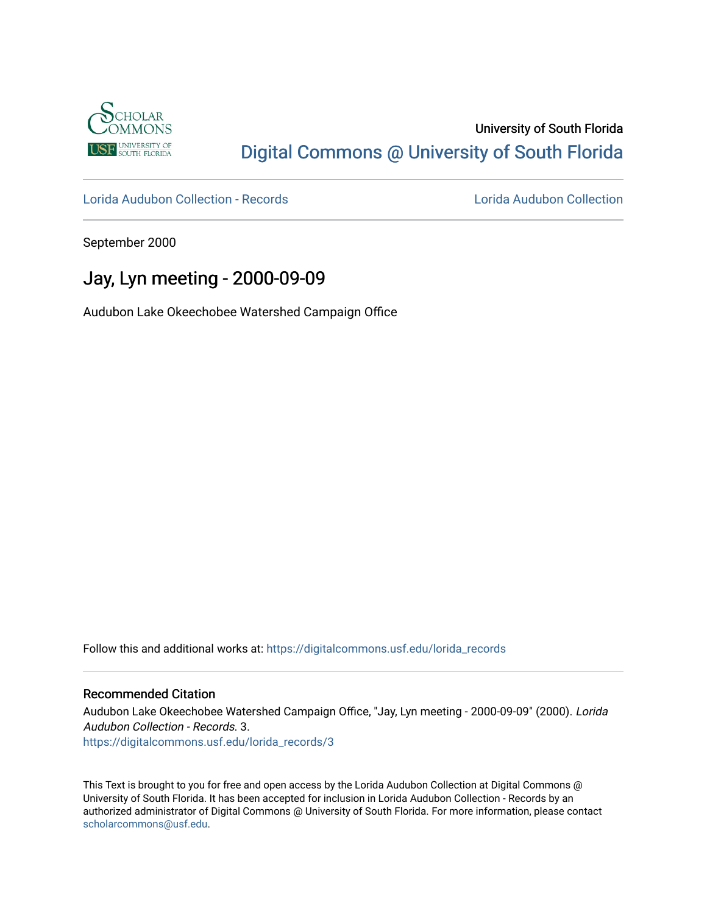

## University of South Florida [Digital Commons @ University of South Florida](https://digitalcommons.usf.edu/)

[Lorida Audubon Collection - Records](https://digitalcommons.usf.edu/lorida_records) [Lorida Audubon Collection](https://digitalcommons.usf.edu/lorida) 

September 2000

## Jay, Lyn meeting - 2000-09-09

Audubon Lake Okeechobee Watershed Campaign Office

Follow this and additional works at: [https://digitalcommons.usf.edu/lorida\\_records](https://digitalcommons.usf.edu/lorida_records?utm_source=digitalcommons.usf.edu%2Florida_records%2F3&utm_medium=PDF&utm_campaign=PDFCoverPages)

## Recommended Citation

Audubon Lake Okeechobee Watershed Campaign Office, "Jay, Lyn meeting - 2000-09-09" (2000). Lorida Audubon Collection - Records. 3. [https://digitalcommons.usf.edu/lorida\\_records/3](https://digitalcommons.usf.edu/lorida_records/3?utm_source=digitalcommons.usf.edu%2Florida_records%2F3&utm_medium=PDF&utm_campaign=PDFCoverPages)

This Text is brought to you for free and open access by the Lorida Audubon Collection at Digital Commons @ University of South Florida. It has been accepted for inclusion in Lorida Audubon Collection - Records by an authorized administrator of Digital Commons @ University of South Florida. For more information, please contact [scholarcommons@usf.edu.](mailto:scholarcommons@usf.edu)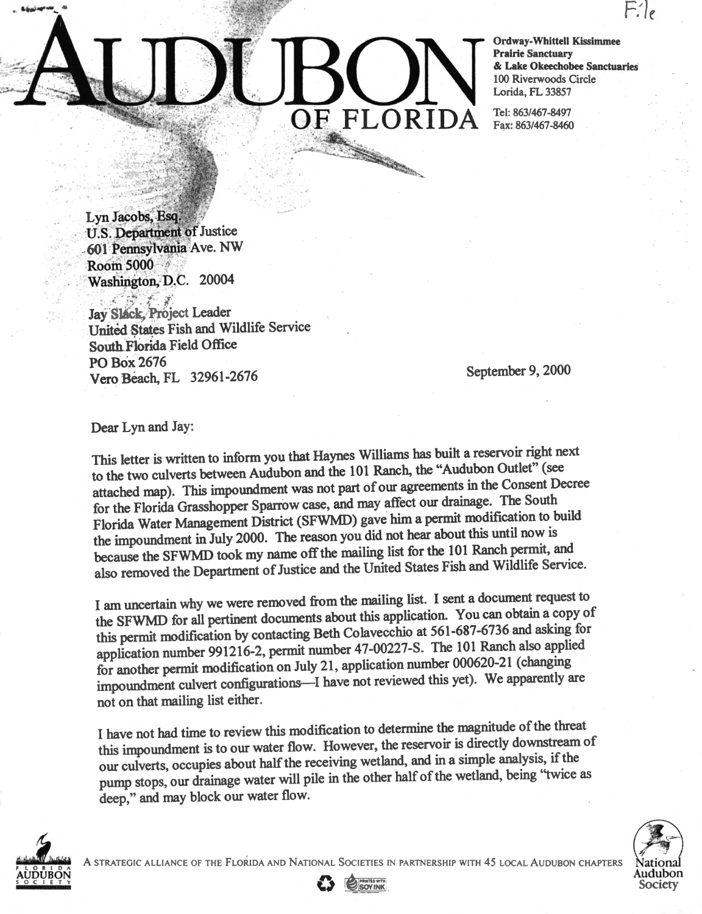## Ordway-Whittell Kissimmee<br>
Prairie Sanctuary<br>
& Lake Okeechobee Sanctua<br>
100 Riverwoods Circle<br>
Lorida, FL 33857 . ' :  $\blacksquare$  $\rm{O}F$   $\rm{FLORIDA}$   $\rm{F}_{\rm{Rx: 863/467-8460}}$ . ·  $\frac{1}{\sqrt{2}}$  .  $\frac{1}{\sqrt{2}}$  .  $\frac{1}{\sqrt{2}}$  .  $\frac{1}{\sqrt{2}}$  .  $\frac{1}{\sqrt{2}}$  .  $\frac{1}{\sqrt{2}}$  .  $\frac{1}{\sqrt{2}}$  .  $\frac{1}{\sqrt{2}}$  .  $\frac{1}{\sqrt{2}}$  .  $\frac{1}{\sqrt{2}}$  .  $\frac{1}{\sqrt{2}}$  .  $\frac{1}{\sqrt{2}}$  .  $\frac{1}{\sqrt{2}}$  .  $\frac{1}{\sqrt{2}}$  .  $\frac{1}{\sqrt{2}}$

. **Prairie Sanctuary**  & **Lake Okeechobee Sanctuaries'**  100 Riverwoods Circle

Lyn Jacobs, Esq. U.S. Department of Justice  $601$  Pennsylvania Ave. NW Room 5000 Washington, D.C. 20004

, .,.\_ . ,, ~· .. • .. · ' , . ... , .....

....... · <sup>~</sup>

 $\mathcal{L} \subset \mathcal{L}^{\mathcal{L}}$ **Jay Slack, Project Leader** United States Fish and Wildlife Service South.Florida Field Office POBox2676 Vero Beach, FL 32961-2676

September 9, 2000

Dear Lyn and Jay:

This letter is written to inform you that Haynes Williams has buih a reservoir right next to the two culverts between Audubon and the 101 Ranch, the "Audubon Outlet" (see attached map). This impoundment was not part of our agreements in the Consent Decree for the Florida Grasshopper Sparrow case, and may affect our drainage. The South Florida Water Management District (SFWMD) gave him a permit modification to build the impoundment in July 2000. The reason you did not hear about this until now is because the SFWMD took my name off the mailing list for the 101 Ranch permit, and also removed the Department of Justice and the United States Fish and Wildlife Service.

I am uncertain why we were removed from the mailing list. I sent a document request to the SFWMD for all pertinent documents about this application. You can obtain a copy of this permit modification by contacting Beth Colavecchio at 561-687-6736 and asking for application number 991216-2, permit number 47-00227-S. The 101 Ranch also applied for another permit modification on July <sup>21</sup> , application number 000620-21 ( changing impoundment culvert configurations-I have not reviewed this yet). We apparently are not on that mailing list either.

I have not had time to review this modification to determine the magnitude of the threat this impoundment is to our water flow. However, the reservoir is directly downstream of our culverts, occupies about half the receiving wetland, and in a simple analysis, if the pump stops, our drainage water will pile in the other half of the wetland, being "twice as deep," and may block our water flow.



<sup>~</sup>AUDUBON A STRATEGIC ALLIANCE OF THE FLORIDA AND NATIONAL SOCIETIES IN PARTNERSHIP WITH *45* LOCAL AUDUBON CHAPTERS